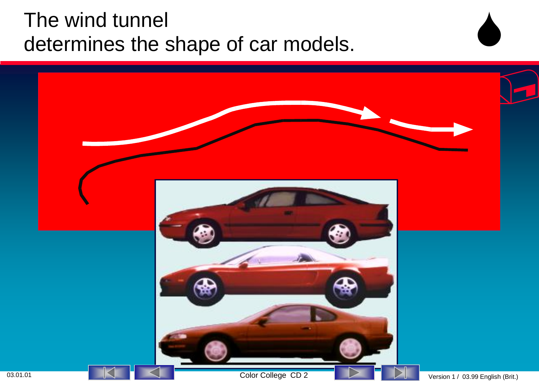#### The wind tunnel determines the shape of car models.

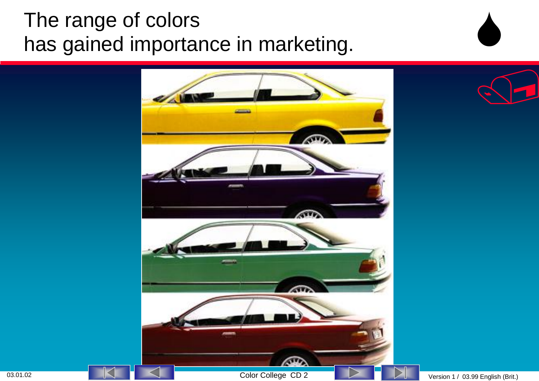## The range of colors has gained importance in marketing.

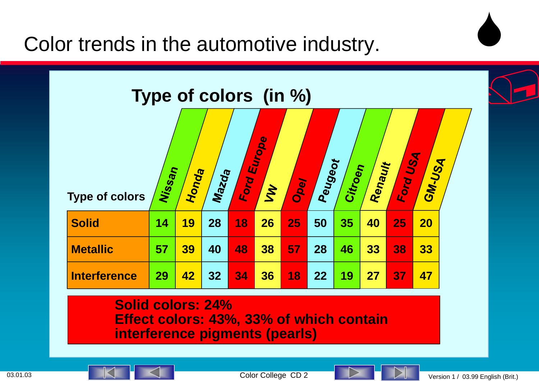Color trends in the automotive industry.



**Solid colors: 24% Effect colors: 43%, 33% of which contain interference pigments (pearls)**



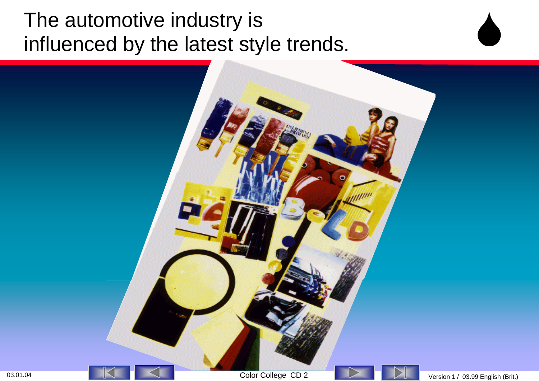#### The automotive industry is influenced by the latest style trends.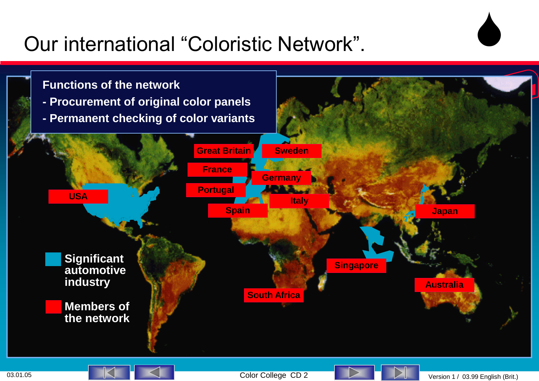### Our international "Coloristic Network".



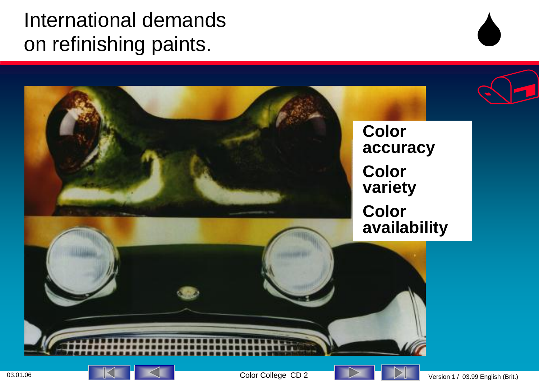### International demands on refinishing paints.